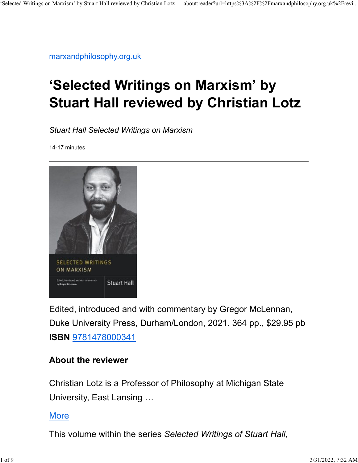[marxandphilosophy.org.uk](https://marxandphilosophy.org.uk/reviews/20099_selected-writings-on-marxism-by-stuart-hall-reviewed-by-christian-lotz/)

## **'Selected Writings on Marxism' by Stuart Hall reviewed by Christian Lotz**

*Stuart Hall Selected Writings on Marxism*

14-17 minutes



Edited, introduced and with commentary by Gregor McLennan, Duke University Press, Durham/London, 2021. 364 pp., \$29.95 pb **ISBN** [9781478000341](http://books.google.co.uk/books?q=isbn+9781478000341)

## **About the reviewer**

Christian Lotz is a Professor of Philosophy at Michigan State University, East Lansing …

## **[More](https://marxandphilosophy.org.uk/reviewer/9113_christian-lotz/)**

This volume within the series *Selected Writings of Stuart Hall,*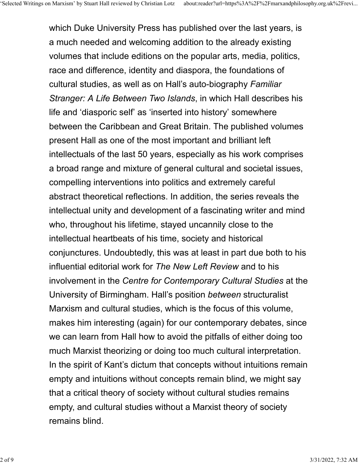which Duke University Press has published over the last years, is a much needed and welcoming addition to the already existing volumes that include editions on the popular arts, media, politics, race and difference, identity and diaspora, the foundations of cultural studies, as well as on Hall's auto-biography *Familiar Stranger: A Life Between Two Islands*, in which Hall describes his life and 'diasporic self' as 'inserted into history' somewhere between the Caribbean and Great Britain. The published volumes present Hall as one of the most important and brilliant left intellectuals of the last 50 years, especially as his work comprises a broad range and mixture of general cultural and societal issues, compelling interventions into politics and extremely careful abstract theoretical reflections. In addition, the series reveals the intellectual unity and development of a fascinating writer and mind who, throughout his lifetime, stayed uncannily close to the intellectual heartbeats of his time, society and historical conjunctures. Undoubtedly, this was at least in part due both to his influential editorial work for *The New Left Review* and to his involvement in the *Centre for Contemporary Cultural Studies* at the University of Birmingham. Hall's position *between* structuralist Marxism and cultural studies, which is the focus of this volume, makes him interesting (again) for our contemporary debates, since we can learn from Hall how to avoid the pitfalls of either doing too much Marxist theorizing or doing too much cultural interpretation. In the spirit of Kant's dictum that concepts without intuitions remain empty and intuitions without concepts remain blind, we might say that a critical theory of society without cultural studies remains empty, and cultural studies without a Marxist theory of society remains blind.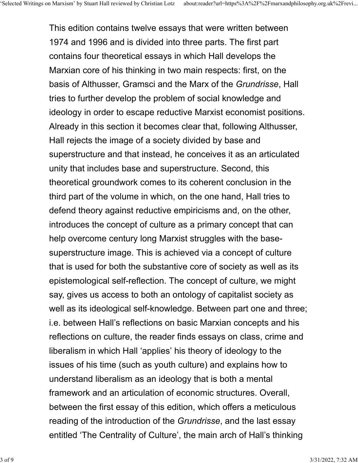This edition contains twelve essays that were written between 1974 and 1996 and is divided into three parts. The first part contains four theoretical essays in which Hall develops the Marxian core of his thinking in two main respects: first, on the basis of Althusser, Gramsci and the Marx of the *Grundrisse*, Hall tries to further develop the problem of social knowledge and ideology in order to escape reductive Marxist economist positions. Already in this section it becomes clear that, following Althusser, Hall rejects the image of a society divided by base and superstructure and that instead, he conceives it as an articulated unity that includes base and superstructure. Second, this theoretical groundwork comes to its coherent conclusion in the third part of the volume in which, on the one hand, Hall tries to defend theory against reductive empiricisms and, on the other, introduces the concept of culture as a primary concept that can help overcome century long Marxist struggles with the basesuperstructure image. This is achieved via a concept of culture that is used for both the substantive core of society as well as its epistemological self-reflection. The concept of culture, we might say, gives us access to both an ontology of capitalist society as well as its ideological self-knowledge. Between part one and three; i.e. between Hall's reflections on basic Marxian concepts and his reflections on culture, the reader finds essays on class, crime and liberalism in which Hall 'applies' his theory of ideology to the issues of his time (such as youth culture) and explains how to understand liberalism as an ideology that is both a mental framework and an articulation of economic structures. Overall, between the first essay of this edition, which offers a meticulous reading of the introduction of the *Grundrisse*, and the last essay entitled 'The Centrality of Culture', the main arch of Hall's thinking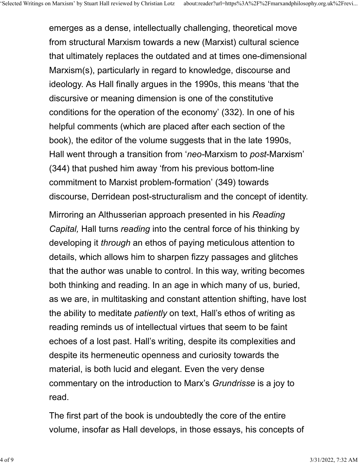emerges as a dense, intellectually challenging, theoretical move from structural Marxism towards a new (Marxist) cultural science that ultimately replaces the outdated and at times one-dimensional Marxism(s), particularly in regard to knowledge, discourse and ideology. As Hall finally argues in the 1990s, this means 'that the discursive or meaning dimension is one of the constitutive conditions for the operation of the economy' (332). In one of his helpful comments (which are placed after each section of the book), the editor of the volume suggests that in the late 1990s, Hall went through a transition from '*neo-*Marxism to *post*-Marxism' (344) that pushed him away 'from his previous bottom-line commitment to Marxist problem-formation' (349) towards discourse, Derridean post-structuralism and the concept of identity.

Mirroring an Althusserian approach presented in his *Reading Capital,* Hall turns *reading* into the central force of his thinking by developing it *through* an ethos of paying meticulous attention to details, which allows him to sharpen fizzy passages and glitches that the author was unable to control. In this way, writing becomes both thinking and reading. In an age in which many of us, buried, as we are, in multitasking and constant attention shifting, have lost the ability to meditate *patiently* on text, Hall's ethos of writing as reading reminds us of intellectual virtues that seem to be faint echoes of a lost past. Hall's writing, despite its complexities and despite its hermeneutic openness and curiosity towards the material, is both lucid and elegant. Even the very dense commentary on the introduction to Marx's *Grundrisse* is a joy to read.

The first part of the book is undoubtedly the core of the entire volume, insofar as Hall develops, in those essays, his concepts of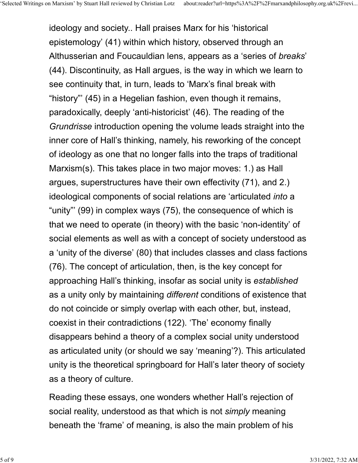ideology and society.. Hall praises Marx for his 'historical epistemology' (41) within which history, observed through an Althusserian and Foucauldian lens, appears as a 'series of *breaks*' (44). Discontinuity, as Hall argues, is the way in which we learn to see continuity that, in turn, leads to 'Marx's final break with "history"' (45) in a Hegelian fashion, even though it remains, paradoxically, deeply 'anti-historicist' (46). The reading of the *Grundrisse* introduction opening the volume leads straight into the inner core of Hall's thinking, namely, his reworking of the concept of ideology as one that no longer falls into the traps of traditional Marxism(s). This takes place in two major moves: 1.) as Hall argues, superstructures have their own effectivity (71), and 2.) ideological components of social relations are 'articulated *into* a "unity"' (99) in complex ways (75), the consequence of which is that we need to operate (in theory) with the basic 'non-identity' of social elements as well as with a concept of society understood as a 'unity of the diverse' (80) that includes classes and class factions (76). The concept of articulation, then, is the key concept for approaching Hall's thinking, insofar as social unity is *established* as a unity only by maintaining *different* conditions of existence that do not coincide or simply overlap with each other, but, instead, coexist in their contradictions (122). 'The' economy finally disappears behind a theory of a complex social unity understood as articulated unity (or should we say 'meaning'?). This articulated unity is the theoretical springboard for Hall's later theory of society as a theory of culture.

Reading these essays, one wonders whether Hall's rejection of social reality, understood as that which is not *simply* meaning beneath the 'frame' of meaning, is also the main problem of his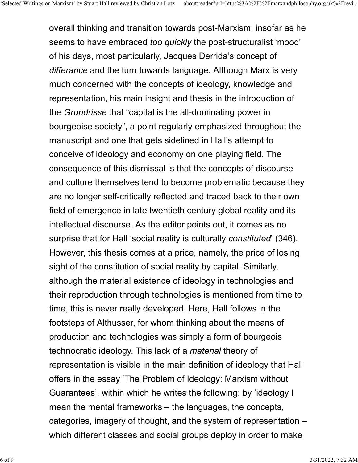overall thinking and transition towards post-Marxism, insofar as he seems to have embraced *too quickly* the post-structuralist 'mood' of his days, most particularly, Jacques Derrida's concept of *differance* and the turn towards language. Although Marx is very much concerned with the concepts of ideology, knowledge and representation, his main insight and thesis in the introduction of the *Grundrisse* that "capital is the all-dominating power in bourgeoise society", a point regularly emphasized throughout the manuscript and one that gets sidelined in Hall's attempt to conceive of ideology and economy on one playing field. The consequence of this dismissal is that the concepts of discourse and culture themselves tend to become problematic because they are no longer self-critically reflected and traced back to their own field of emergence in late twentieth century global reality and its intellectual discourse. As the editor points out, it comes as no surprise that for Hall 'social reality is culturally *constituted*' (346). However, this thesis comes at a price, namely, the price of losing sight of the constitution of social reality by capital. Similarly, although the material existence of ideology in technologies and their reproduction through technologies is mentioned from time to time, this is never really developed. Here, Hall follows in the footsteps of Althusser, for whom thinking about the means of production and technologies was simply a form of bourgeois technocratic ideology. This lack of a *material* theory of representation is visible in the main definition of ideology that Hall offers in the essay 'The Problem of Ideology: Marxism without Guarantees', within which he writes the following: by 'ideology I mean the mental frameworks – the languages, the concepts, categories, imagery of thought, and the system of representation – which different classes and social groups deploy in order to make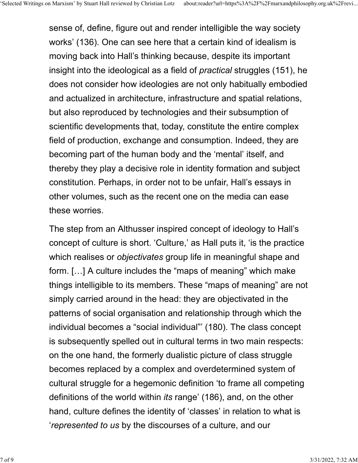sense of, define, figure out and render intelligible the way society works' (136). One can see here that a certain kind of idealism is moving back into Hall's thinking because, despite its important insight into the ideological as a field of *practical* struggles (151), he does not consider how ideologies are not only habitually embodied and actualized in architecture, infrastructure and spatial relations, but also reproduced by technologies and their subsumption of scientific developments that, today, constitute the entire complex field of production, exchange and consumption. Indeed, they are becoming part of the human body and the 'mental' itself, and thereby they play a decisive role in identity formation and subject constitution. Perhaps, in order not to be unfair, Hall's essays in other volumes, such as the recent one on the media can ease these worries.

The step from an Althusser inspired concept of ideology to Hall's concept of culture is short. 'Culture,' as Hall puts it, 'is the practice which realises or *objectivates* group life in meaningful shape and form. […] A culture includes the "maps of meaning" which make things intelligible to its members. These "maps of meaning" are not simply carried around in the head: they are objectivated in the patterns of social organisation and relationship through which the individual becomes a "social individual"' (180). The class concept is subsequently spelled out in cultural terms in two main respects: on the one hand, the formerly dualistic picture of class struggle becomes replaced by a complex and overdetermined system of cultural struggle for a hegemonic definition 'to frame all competing definitions of the world within *its* range' (186), and, on the other hand, culture defines the identity of 'classes' in relation to what is '*represented to us* by the discourses of a culture, and our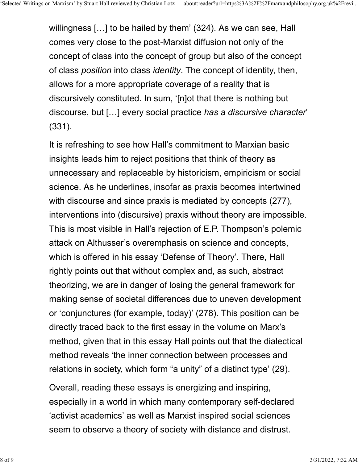willingness […] to be hailed by them' (324). As we can see, Hall comes very close to the post-Marxist diffusion not only of the concept of class into the concept of group but also of the concept of class *position* into class *identity*. The concept of identity, then, allows for a more appropriate coverage of a reality that is discursively constituted. In sum, '[n]ot that there is nothing but discourse, but […] every social practice *has a discursive character*' (331).

It is refreshing to see how Hall's commitment to Marxian basic insights leads him to reject positions that think of theory as unnecessary and replaceable by historicism, empiricism or social science. As he underlines, insofar as praxis becomes intertwined with discourse and since praxis is mediated by concepts (277), interventions into (discursive) praxis without theory are impossible. This is most visible in Hall's rejection of E.P. Thompson's polemic attack on Althusser's overemphasis on science and concepts, which is offered in his essay 'Defense of Theory'. There, Hall rightly points out that without complex and, as such, abstract theorizing, we are in danger of losing the general framework for making sense of societal differences due to uneven development or 'conjunctures (for example, today)' (278). This position can be directly traced back to the first essay in the volume on Marx's method, given that in this essay Hall points out that the dialectical method reveals 'the inner connection between processes and relations in society, which form "a unity" of a distinct type' (29).

Overall, reading these essays is energizing and inspiring, especially in a world in which many contemporary self-declared 'activist academics' as well as Marxist inspired social sciences seem to observe a theory of society with distance and distrust.